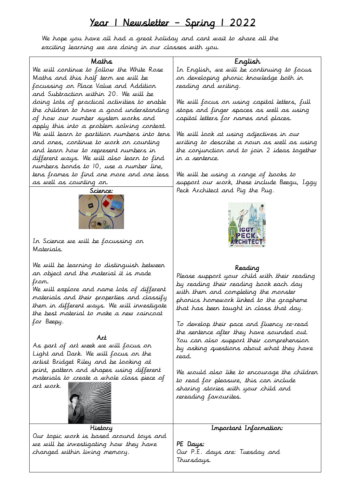# Year 1 Newsletter – Spring 1 2022

We hope you have all had a great holiday and cant wait to share all the exciting learning we are doing in our classes with you.

## Maths

We will continue to follow the White Rose Maths and this half term we will be focussing on Place Value and Addition and Subtraction within 20. We will be doing lots of practical activities to enable the children to have a good understanding of how our number system works and apply this into a problem solving context. We will learn to partition numbers into tens and ones, continue to work on counting and learn how to represent numbers in different ways. We will also learn to find numbers bonds to 10, use a number line, tens frames to find one more and one less as well as counting on.



In Science we will be focussing on Materials.

We will be learning to distinguish between an object and the material it is made from.

We will explore and name lots of different materials and their properties and classify them in different ways. We will investigate the best material to make a new raincoat for Beepy.

### Art

As part of art week we will focus on Light and Dark. We will focus on the artist Bridget Riley and be looking at print, pattern and shapes using different materials to create a whole class piece of



art work.

History Our topic work is based around toys and we will be investigating how they have changed within living memory.

# English

In English, we will be continuing to focus on developing phonic knowledge both in reading and writing.

We will focus on using capital letters, full stops and finger spaces as well as using capital letters for names and places.

We will look at using adjectives in our writing to describe a noun as well as using the conjunction and to join 2 ideas together in a sentence.

We will be using a range of books to support our work, these include Beegu, Iggy Peck Architect and Pig the Pug.



#### Reading

Please support your child with their reading by reading their reading book each day with them and completing the monster phonics homework linked to the grapheme that has been taught in class that day.

To develop their pace and fluency re-read the sentence after they have sounded out. You can also support their comprehension by asking questions about what they have read.

We would also like to encourage the children to read for pleasure, this can include sharing stories with your child and rereading favourites.

# Important Information:

PE Days: Our P.E. days are: Tuesday and Thursdays.